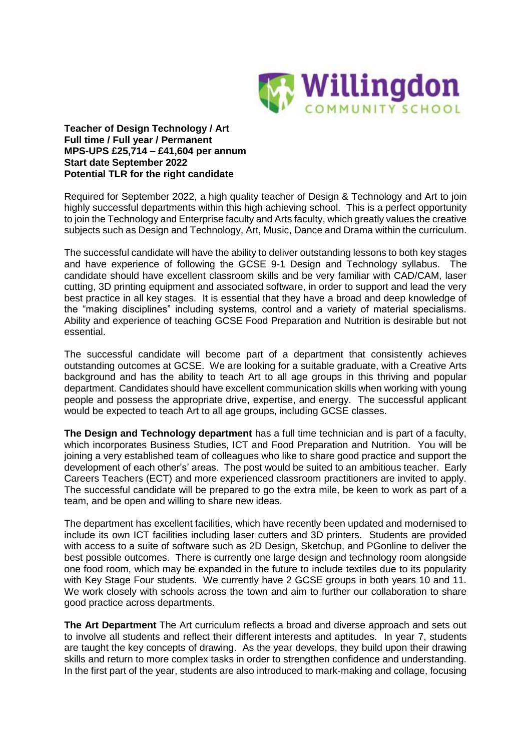

**Teacher of Design Technology / Art Full time / Full year / Permanent MPS-UPS £25,714 – £41,604 per annum Start date September 2022 Potential TLR for the right candidate**

Required for September 2022, a high quality teacher of Design & Technology and Art to join highly successful departments within this high achieving school. This is a perfect opportunity to join the Technology and Enterprise faculty and Arts faculty, which greatly values the creative subjects such as Design and Technology, Art, Music, Dance and Drama within the curriculum.

The successful candidate will have the ability to deliver outstanding lessons to both key stages and have experience of following the GCSE 9-1 Design and Technology syllabus. The candidate should have excellent classroom skills and be very familiar with CAD/CAM, laser cutting, 3D printing equipment and associated software, in order to support and lead the very best practice in all key stages. It is essential that they have a broad and deep knowledge of the "making disciplines" including systems, control and a variety of material specialisms. Ability and experience of teaching GCSE Food Preparation and Nutrition is desirable but not essential.

The successful candidate will become part of a department that consistently achieves outstanding outcomes at GCSE. We are looking for a suitable graduate, with a Creative Arts background and has the ability to teach Art to all age groups in this thriving and popular department. Candidates should have excellent communication skills when working with young people and possess the appropriate drive, expertise, and energy. The successful applicant would be expected to teach Art to all age groups, including GCSE classes.

**The Design and Technology department** has a full time technician and is part of a faculty, which incorporates Business Studies, ICT and Food Preparation and Nutrition. You will be joining a very established team of colleagues who like to share good practice and support the development of each other's' areas. The post would be suited to an ambitious teacher. Early Careers Teachers (ECT) and more experienced classroom practitioners are invited to apply. The successful candidate will be prepared to go the extra mile, be keen to work as part of a team, and be open and willing to share new ideas.

The department has excellent facilities, which have recently been updated and modernised to include its own ICT facilities including laser cutters and 3D printers. Students are provided with access to a suite of software such as 2D Design, Sketchup, and PGonline to deliver the best possible outcomes. There is currently one large design and technology room alongside one food room, which may be expanded in the future to include textiles due to its popularity with Key Stage Four students. We currently have 2 GCSE groups in both years 10 and 11. We work closely with schools across the town and aim to further our collaboration to share good practice across departments.

**The Art Department** The Art curriculum reflects a broad and diverse approach and sets out to involve all students and reflect their different interests and aptitudes. In year 7, students are taught the key concepts of drawing. As the year develops, they build upon their drawing skills and return to more complex tasks in order to strengthen confidence and understanding. In the first part of the year, students are also introduced to mark-making and collage, focusing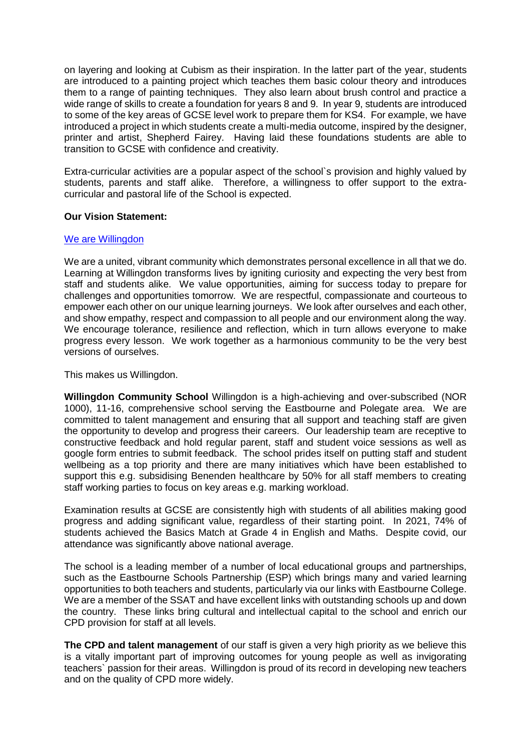on layering and looking at Cubism as their inspiration. In the latter part of the year, students are introduced to a painting project which teaches them basic colour theory and introduces them to a range of painting techniques. They also learn about brush control and practice a wide range of skills to create a foundation for years 8 and 9. In year 9, students are introduced to some of the key areas of GCSE level work to prepare them for KS4. For example, we have introduced a project in which students create a multi-media outcome, inspired by the designer, printer and artist, Shepherd Fairey. Having laid these foundations students are able to transition to GCSE with confidence and creativity.

Extra-curricular activities are a popular aspect of the school`s provision and highly valued by students, parents and staff alike. Therefore, a willingness to offer support to the extracurricular and pastoral life of the School is expected.

### **Our Vision Statement:**

### We are [Willingdon](https://www.youtube.com/watch?v=hh3vC1yX3CI)

We are a united, vibrant community which demonstrates personal excellence in all that we do. Learning at Willingdon transforms lives by igniting curiosity and expecting the very best from staff and students alike. We value opportunities, aiming for success today to prepare for challenges and opportunities tomorrow. We are respectful, compassionate and courteous to empower each other on our unique learning journeys. We look after ourselves and each other, and show empathy, respect and compassion to all people and our environment along the way. We encourage tolerance, resilience and reflection, which in turn allows everyone to make progress every lesson. We work together as a harmonious community to be the very best versions of ourselves.

This makes us Willingdon.

**Willingdon Community School** Willingdon is a high-achieving and over-subscribed (NOR 1000), 11-16, comprehensive school serving the Eastbourne and Polegate area. We are committed to talent management and ensuring that all support and teaching staff are given the opportunity to develop and progress their careers. Our leadership team are receptive to constructive feedback and hold regular parent, staff and student voice sessions as well as google form entries to submit feedback. The school prides itself on putting staff and student wellbeing as a top priority and there are many initiatives which have been established to support this e.g. subsidising Benenden healthcare by 50% for all staff members to creating staff working parties to focus on key areas e.g. marking workload.

Examination results at GCSE are consistently high with students of all abilities making good progress and adding significant value, regardless of their starting point. In 2021, 74% of students achieved the Basics Match at Grade 4 in English and Maths. Despite covid, our attendance was significantly above national average.

The school is a leading member of a number of local educational groups and partnerships, such as the Eastbourne Schools Partnership (ESP) which brings many and varied learning opportunities to both teachers and students, particularly via our links with Eastbourne College. We are a member of the SSAT and have excellent links with outstanding schools up and down the country. These links bring cultural and intellectual capital to the school and enrich our CPD provision for staff at all levels.

**The CPD and talent management** of our staff is given a very high priority as we believe this is a vitally important part of improving outcomes for young people as well as invigorating teachers` passion for their areas. Willingdon is proud of its record in developing new teachers and on the quality of CPD more widely.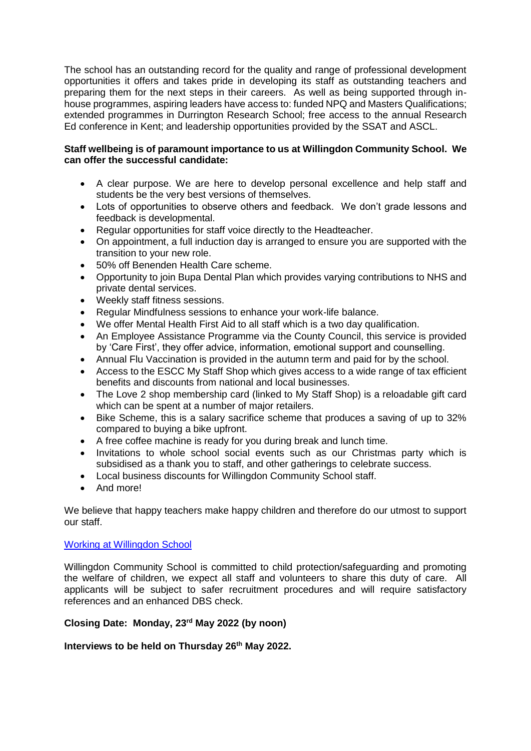The school has an outstanding record for the quality and range of professional development opportunities it offers and takes pride in developing its staff as outstanding teachers and preparing them for the next steps in their careers. As well as being supported through inhouse programmes, aspiring leaders have access to: funded NPQ and Masters Qualifications; extended programmes in Durrington Research School; free access to the annual Research Ed conference in Kent; and leadership opportunities provided by the SSAT and ASCL.

## **Staff wellbeing is of paramount importance to us at Willingdon Community School. We can offer the successful candidate:**

- A clear purpose. We are here to develop personal excellence and help staff and students be the very best versions of themselves.
- Lots of opportunities to observe others and feedback. We don't grade lessons and feedback is developmental.
- Regular opportunities for staff voice directly to the Headteacher.
- On appointment, a full induction day is arranged to ensure you are supported with the transition to your new role.
- 50% off Benenden Health Care scheme.
- Opportunity to join Bupa Dental Plan which provides varying contributions to NHS and private dental services.
- Weekly staff fitness sessions.
- Regular Mindfulness sessions to enhance your work-life balance.
- We offer Mental Health First Aid to all staff which is a two day qualification.
- An Employee Assistance Programme via the County Council, this service is provided by 'Care First', they offer advice, information, emotional support and counselling.
- Annual Flu Vaccination is provided in the autumn term and paid for by the school.
- Access to the ESCC My Staff Shop which gives access to a wide range of tax efficient benefits and discounts from national and local businesses.
- The Love 2 shop membership card (linked to My Staff Shop) is a reloadable gift card which can be spent at a number of major retailers.
- Bike Scheme, this is a salary sacrifice scheme that produces a saving of up to 32% compared to buying a bike upfront.
- A free coffee machine is ready for you during break and lunch time.
- Invitations to whole school social events such as our Christmas party which is subsidised as a thank you to staff, and other gatherings to celebrate success.
- Local business discounts for Willingdon Community School staff.
- And more!

We believe that happy teachers make happy children and therefore do our utmost to support our staff.

## [Working at Willingdon School](https://www.youtube.com/watch?v=N3k89MR2IpA)

Willingdon Community School is committed to child protection/safeguarding and promoting the welfare of children, we expect all staff and volunteers to share this duty of care. All applicants will be subject to safer recruitment procedures and will require satisfactory references and an enhanced DBS check.

# **Closing Date: Monday, 23rd May 2022 (by noon)**

## **Interviews to be held on Thursday 26th May 2022.**